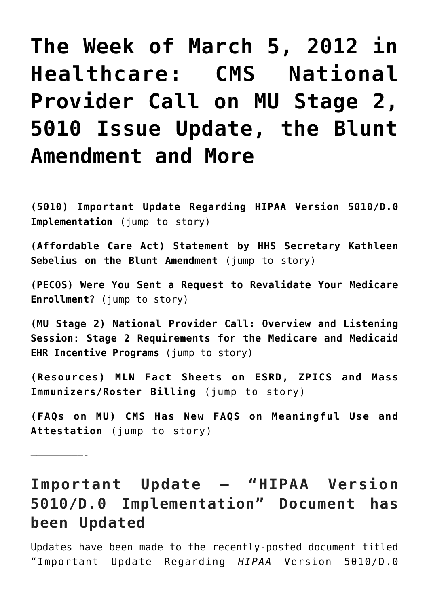# **[The Week of March 5, 2012 in](https://managemypractice.com/the-week-of-march-5-2012-in-healthcare-cms-national-provider-call-on-mu-stage-2-5010-issue-update-the-blunt-amendment-and-more/) [Healthcare: CMS National](https://managemypractice.com/the-week-of-march-5-2012-in-healthcare-cms-national-provider-call-on-mu-stage-2-5010-issue-update-the-blunt-amendment-and-more/) [Provider Call on MU Stage 2,](https://managemypractice.com/the-week-of-march-5-2012-in-healthcare-cms-national-provider-call-on-mu-stage-2-5010-issue-update-the-blunt-amendment-and-more/) [5010 Issue Update, the Blunt](https://managemypractice.com/the-week-of-march-5-2012-in-healthcare-cms-national-provider-call-on-mu-stage-2-5010-issue-update-the-blunt-amendment-and-more/) [Amendment and More](https://managemypractice.com/the-week-of-march-5-2012-in-healthcare-cms-national-provider-call-on-mu-stage-2-5010-issue-update-the-blunt-amendment-and-more/)**

<span id="page-0-1"></span>**(5010) Important Update Regarding HIPAA Version 5010/D.0 Implementation** [\(jump to story\)](#page-0-0)

**(Affordable Care Act) Statement by HHS Secretary Kathleen Sebelius on the Blunt Amendment** [\(jump to story\)](#page-1-0)

**(PECOS) Were You Sent a Request to Revalidate Your Medicare Enrollment**? [\(jump to story\)](#page-2-0)

**(MU Stage 2) National Provider Call: Overview and Listening Session: Stage 2 Requirements for the Medicare and Medicaid EHR Incentive Programs** [\(jump to story\)](#page-2-1)

**(Resources) MLN Fact Sheets on ESRD, ZPICS and Mass Immunizers/Roster Billing** [\(jump to story\)](#page-4-0)

**(FAQs on MU) CMS Has New FAQS on Meaningful Use and Attestation** [\(jump to story\)](#page-6-0)

—————————-

## <span id="page-0-0"></span>**Important Update – "HIPAA Version 5010/D.0 Implementation" Document has been Updated**

Updates have been made to the recently-posted document titled "Important Update Regarding *HIPAA* Version 5010/D.0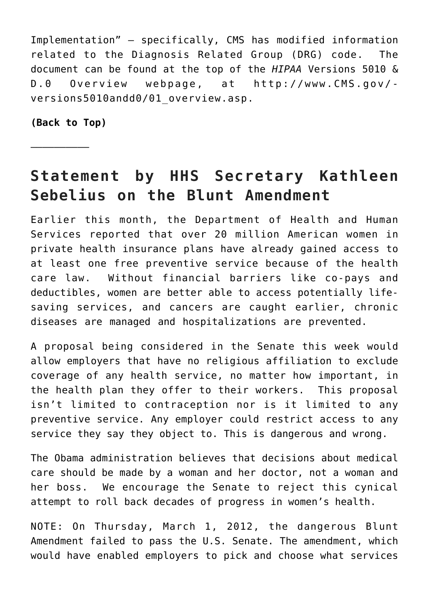Implementation" – specifically, CMS has modified information related to the Diagnosis Related Group (DRG) code. The document can be found at the top of the *HIPAA* Versions 5010 & D.0 Overview webpage, at [http://www.CMS.gov/](http://www.cms.gov/versions5010andd0/01_overview.asp) versions5010andd0/01 overview.asp.

**[\(Back to Top\)](#page-0-1)**

—————————–

### <span id="page-1-0"></span>**Statement by HHS Secretary Kathleen Sebelius on the Blunt Amendment**

Earlier this month, the Department of Health and Human Services reported that over 20 million American women in private health insurance plans have already gained access to at least one free preventive service because of the health care law. Without financial barriers like co-pays and deductibles, women are better able to access potentially lifesaving services, and cancers are caught earlier, chronic diseases are managed and hospitalizations are prevented.

A proposal being considered in the Senate this week would allow employers that have no religious affiliation to exclude coverage of any health service, no matter how important, in the health plan they offer to their workers. This proposal isn't limited to contraception nor is it limited to any preventive service. Any employer could restrict access to any service they say they object to. This is dangerous and wrong.

The Obama administration believes that decisions about medical care should be made by a woman and her doctor, not a woman and her boss. We encourage the Senate to reject this cynical attempt to roll back decades of progress in women's health.

NOTE: On Thursday, March 1, 2012, the dangerous Blunt Amendment [failed to pass](http://www.huffingtonpost.com/2012/03/01/blunt-amendment-vote-fails-senate-contraception_n_1313287.html) the U.S. Senate. The amendment, which would have enabled employers to pick and choose what services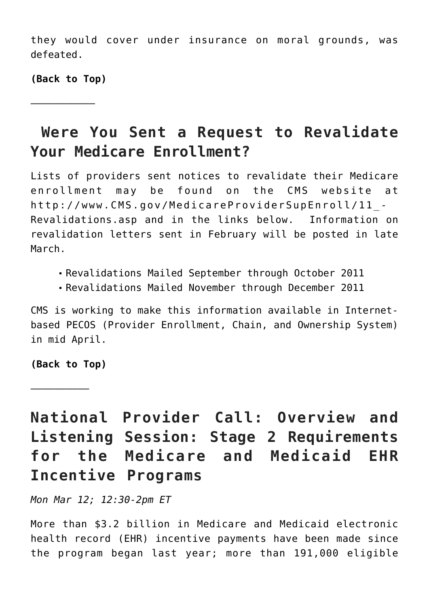they would cover under insurance on moral grounds, was defeated.

**[\(Back to Top\)](#page-0-1)**

<span id="page-2-0"></span>———————————

### **Were You Sent a Request to Revalidate Your Medicare Enrollment?**

Lists of providers sent notices to revalidate their Medicare enrollment may be found on the CMS website at [http://www.CMS.gov/MedicareProviderSupEnroll/11\\_-](http://www.cms.gov/MedicareProviderSupEnroll/11_Revalidations.asp) [Revalidations.asp](http://www.cms.gov/MedicareProviderSupEnroll/11_Revalidations.asp) and in the links below. Information on revalidation letters sent in February will be posted in late March.

- [Revalidations Mailed September through October 2011](http://www.cms.gov/MedicareProviderSupEnroll/Downloads/RevalidationMailedSepOct.zip)
- [Revalidations Mailed November through December 2011](http://www.cms.gov/MedicareProviderSupEnroll/Downloads/RevalidationMailedNovDec.zip)

CMS is working to make this information available in Internetbased PECOS (Provider Enrollment, Chain, and Ownership System) in mid April.

**[\(Back to Top\)](#page-0-1)**

—————————–

<span id="page-2-1"></span>**National Provider Call: Overview and Listening Session: Stage 2 Requirements for the Medicare and Medicaid EHR Incentive Programs**

*Mon Mar 12; 12:30-2pm ET*

More than \$3.2 billion in Medicare and Medicaid electronic health record (EHR) incentive payments have been made since the program began last year; more than 191,000 eligible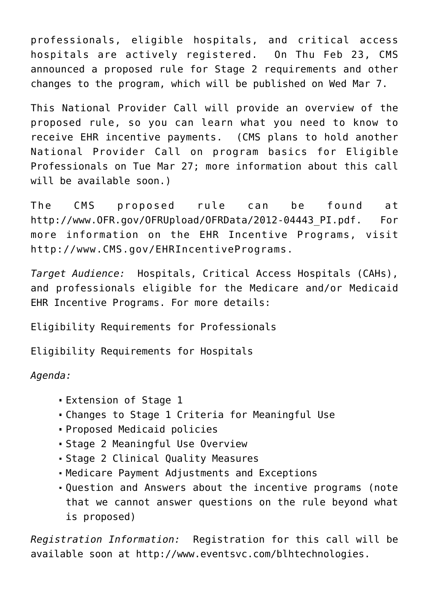professionals, eligible hospitals, and critical access hospitals are actively registered. On Thu Feb 23, CMS announced a proposed rule for Stage 2 requirements and other changes to the program, which will be published on Wed Mar 7.

This National Provider Call will provide an overview of the proposed rule, so you can learn what you need to know to receive EHR incentive payments. (CMS plans to hold another National Provider Call on program basics for Eligible Professionals on Tue Mar 27; more information about this call will be available soon.)

The CMS proposed rule can be found at http://www.OFR.gov/OFRUpload/OFRData/2012-04443 PI.pdf. For more information on the EHR Incentive Programs, visit [http://www.CMS.gov/EHRIncentivePrograms](http://www.cms.gov/EHRIncentivePrograms).

*Target Audience:* Hospitals, Critical Access Hospitals (CAHs), and professionals eligible for the Medicare and/or Medicaid EHR Incentive Programs. For more details:

[Eligibility Requirements for Professionals](http://www.cms.gov/EHRIncentivePrograms/15_Eligibility.asp#BOOKMARK1)

[Eligibility Requirements for Hospitals](http://www.cms.gov/EHRIncentivePrograms/15_Eligibility.asp#BOOKMARK2)

*Agenda:*

- Extension of Stage 1
- Changes to Stage 1 Criteria for Meaningful Use
- Proposed Medicaid policies
- Stage 2 Meaningful Use Overview
- Stage 2 Clinical Quality Measures
- Medicare Payment Adjustments and Exceptions
- Question and Answers about the incentive programs (note that we cannot answer questions on the rule beyond what is proposed)

*Registration Information:* Registration for this call will be available soon at [http://www.eventsvc.com/blhtechnologies.](http://www.eventsvc.com/blhtechnologies/)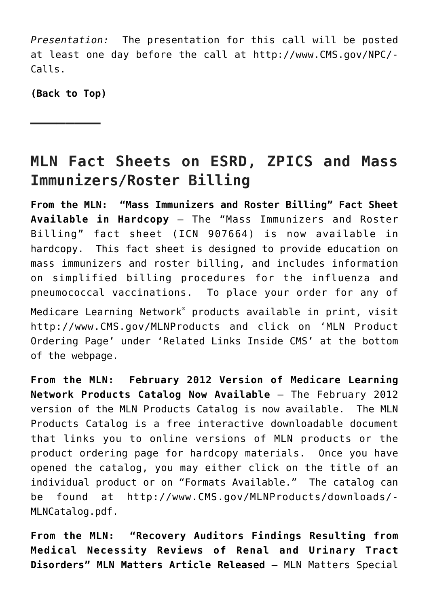*Presentation:* The presentation for this call will be posted at least one day before the call at [http://www.CMS.gov/NPC/-](https://www.cms.gov/Outreach-and-Education/Outreach/NPC/index.html) [Calls](https://www.cms.gov/Outreach-and-Education/Outreach/NPC/index.html).

**[\(Back to Top\)](#page-0-1)**

**———————–**

## <span id="page-4-0"></span>**MLN Fact Sheets on ESRD, ZPICS and Mass Immunizers/Roster Billing**

**From the MLN: "Mass Immunizers and Roster Billing" Fact Sheet Available in Hardcopy** – The "[Mass Immunizers and Roster](http://www.cms.gov/MLNProducts/downloads/Mass_Immunize_Roster_Bill_factsheet_ICN907275.pdf) [Billing"](http://www.cms.gov/MLNProducts/downloads/Mass_Immunize_Roster_Bill_factsheet_ICN907275.pdf) fact sheet (ICN 907664) is now available in hardcopy. This fact sheet is designed to provide education on mass immunizers and roster billing, and includes information on simplified billing procedures for the influenza and pneumococcal vaccinations. To place your order for any of

Medicare Learning Network® products available in print, visit [http://www.CMS.gov/MLNProducts](http://www.cms.gov/MLNProducts) and click on 'MLN Product Ordering Page' under 'Related Links Inside CMS' at the bottom of the webpage.

**From the MLN: February 2012 Version of Medicare Learning Network Products Catalog Now Available** – The February 2012 version of the MLN Products Catalog is now available. The MLN Products Catalog is a free interactive downloadable document that links you to online versions of MLN products or the product ordering page for hardcopy materials. Once you have opened the catalog, you may either click on the title of an individual product or on "Formats Available." The catalog can be found at [http://www.CMS.gov/MLNProducts/downloads/-](http://www.cms.gov/MLNProducts/downloads/MLNCatalog.pdf) [MLNCatalog.pdf](http://www.cms.gov/MLNProducts/downloads/MLNCatalog.pdf).

**From the MLN: "Recovery Auditors Findings Resulting from Medical Necessity Reviews of Renal and Urinary Tract Disorders" MLN Matters Article Released** – MLN Matters Special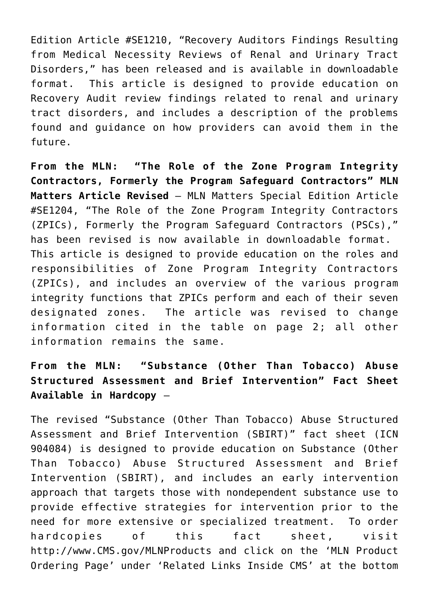Edition Article #SE1210, "[Recovery Auditors Findings Resulting](http://www.cms.gov/MLNMattersArticles/Downloads/SE1210.pdf) [from Medical Necessity Reviews of Renal and Urinary Tract](http://www.cms.gov/MLNMattersArticles/Downloads/SE1210.pdf) [Disorders](http://www.cms.gov/MLNMattersArticles/Downloads/SE1210.pdf)," has been released and is available in downloadable format. This article is designed to provide education on Recovery Audit review findings related to renal and urinary tract disorders, and includes a description of the problems found and guidance on how providers can avoid them in the future.

**From the MLN: "The Role of the Zone Program Integrity Contractors, Formerly the Program Safeguard Contractors" MLN Matters Article Revised** – MLN Matters Special Edition Article #SE1204, ["The Role of the Zone Program Integrity Contractors](http://www.cms.gov/MLNMattersArticles/Downloads/SE1204.pdf) [\(ZPICs\), Formerly the Program Safeguard Contractors \(PSCs\)](http://www.cms.gov/MLNMattersArticles/Downloads/SE1204.pdf)," has been revised is now available in downloadable format. This article is designed to provide education on the roles and responsibilities of Zone Program Integrity Contractors (ZPICs), and includes an overview of the various program integrity functions that ZPICs perform and each of their seven designated zones. The article was revised to change information cited in the table on page 2; all other information remains the same.

#### **From the MLN: "Substance (Other Than Tobacco) Abuse Structured Assessment and Brief Intervention" Fact Sheet Available in Hardcopy** –

The revised "[Substance \(Other Than Tobacco\) Abuse Structured](http://www.cms.gov/MLNProducts/downloads/SBIRT_Factsheet_ICN904084.pdf) [Assessment and Brief Intervention \(SBIRT\)"](http://www.cms.gov/MLNProducts/downloads/SBIRT_Factsheet_ICN904084.pdf) fact sheet (ICN 904084) is designed to provide education on Substance (Other Than Tobacco) Abuse Structured Assessment and Brief Intervention (SBIRT), and includes an early intervention approach that targets those with nondependent substance use to provide effective strategies for intervention prior to the need for more extensive or specialized treatment. To order hardcopies of this fact sheet, visit [http://www.CMS.gov/MLNProducts](http://www.cms.gov/MLNProducts) and click on the 'MLN Product Ordering Page' under 'Related Links Inside CMS' at the bottom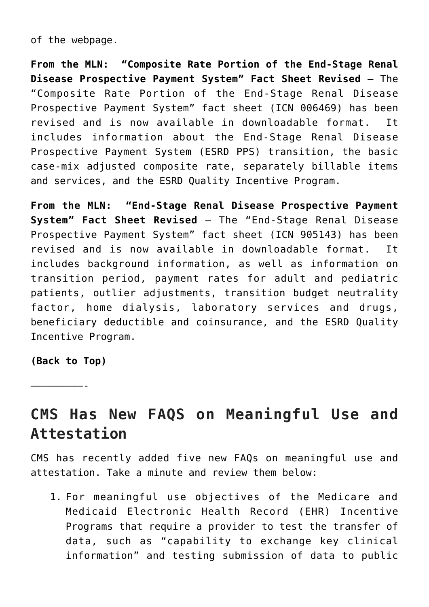of the webpage.

**From the MLN: "Composite Rate Portion of the End-Stage Renal Disease Prospective Payment System" Fact Sheet Revised** – The "[Composite Rate Portion of the End-Stage Renal Disease](http://www.cms.gov/Outreach-and-Education/Medicare-Learning-Network-MLN/MLNMattersArticles/Downloads/MM7064.pdf) [Prospective Payment System](http://www.cms.gov/Outreach-and-Education/Medicare-Learning-Network-MLN/MLNMattersArticles/Downloads/MM7064.pdf)" fact sheet (ICN 006469) has been revised and is now available in downloadable format. It includes information about the End-Stage Renal Disease Prospective Payment System (ESRD PPS) transition, the basic case-mix adjusted composite rate, separately billable items and services, and the ESRD Quality Incentive Program.

**From the MLN: "End-Stage Renal Disease Prospective Payment System" Fact Sheet Revised** – The "[End-Stage Renal Disease](http://www.cms.gov/MLNProducts/downloads/End-Stage_Renal_Disease_Prospective_Payment_System_ICN905143.pdf) [Prospective Payment System](http://www.cms.gov/MLNProducts/downloads/End-Stage_Renal_Disease_Prospective_Payment_System_ICN905143.pdf)" fact sheet (ICN 905143) has been revised and is now available in downloadable format. It includes background information, as well as information on transition period, payment rates for adult and pediatric patients, outlier adjustments, transition budget neutrality factor, home dialysis, laboratory services and drugs, beneficiary deductible and coinsurance, and the ESRD Quality Incentive Program.

**[\(Back to Top\)](#page-0-1)**

<span id="page-6-0"></span>—————————-

**CMS Has New FAQS on Meaningful Use and Attestation**

CMS has recently added five new FAQs on meaningful use and attestation. Take a minute and review them below:

1. For meaningful use objectives of the Medicare and Medicaid Electronic Health Record (EHR) Incentive Programs that require a provider to test the transfer of data, such as "capability to exchange key clinical information" and testing submission of data to public